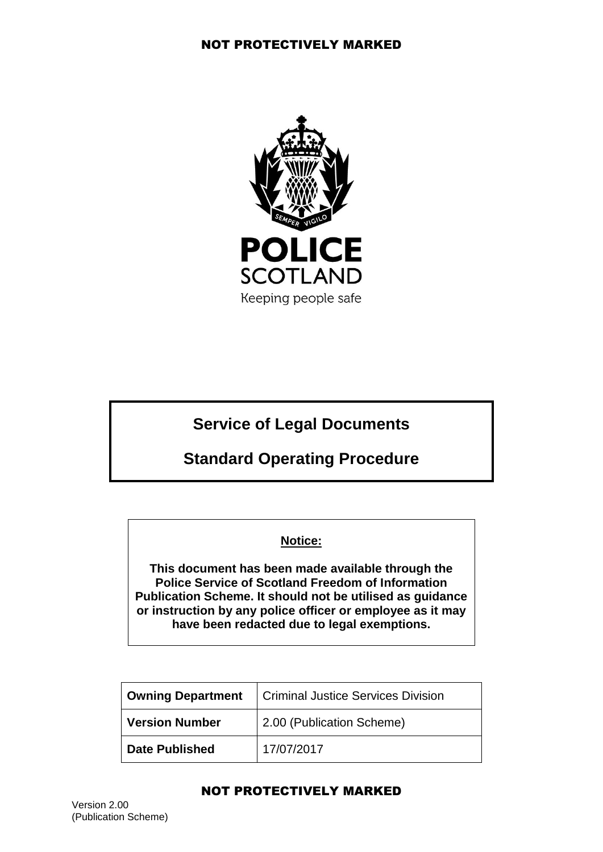

# **Service of Legal Documents**

# **Standard Operating Procedure**

## **Notice:**

**This document has been made available through the Police Service of Scotland Freedom of Information Publication Scheme. It should not be utilised as guidance or instruction by any police officer or employee as it may have been redacted due to legal exemptions.**

| <b>Owning Department</b> | <b>Criminal Justice Services Division</b> |
|--------------------------|-------------------------------------------|
| Version Number           | 2.00 (Publication Scheme)                 |
| Date Published           | 17/07/2017                                |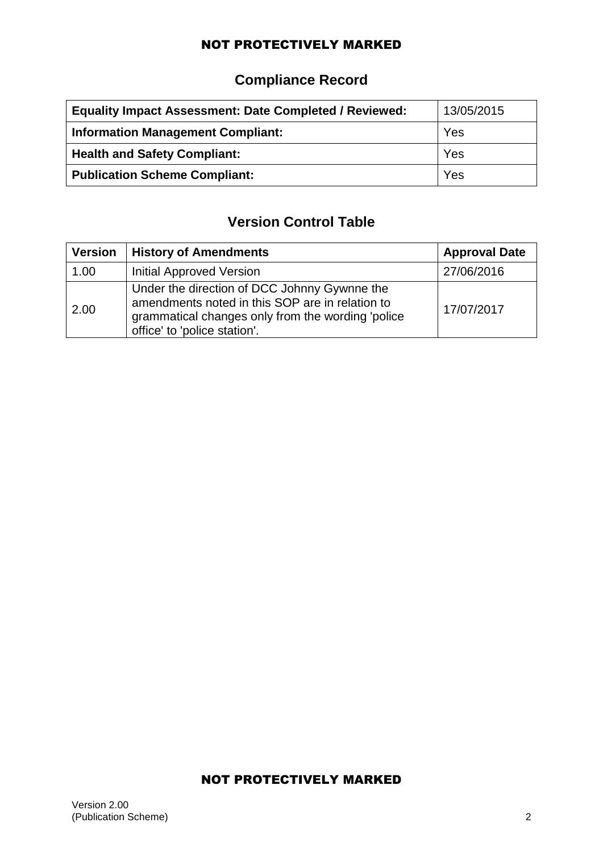# **Compliance Record**

| <b>Equality Impact Assessment: Date Completed / Reviewed:</b> | 13/05/2015 |
|---------------------------------------------------------------|------------|
| <b>Information Management Compliant:</b>                      | Yes        |
| <b>Health and Safety Compliant:</b>                           | Yes        |
| <b>Publication Scheme Compliant:</b>                          | Yes        |

# **Version Control Table**

| <b>Version</b> | <b>History of Amendments</b>                                                                                                                                                         | <b>Approval Date</b> |
|----------------|--------------------------------------------------------------------------------------------------------------------------------------------------------------------------------------|----------------------|
| 1.00           | Initial Approved Version                                                                                                                                                             | 27/06/2016           |
| 2.00           | Under the direction of DCC Johnny Gywnne the<br>amendments noted in this SOP are in relation to<br>grammatical changes only from the wording 'police<br>office' to 'police station'. | 17/07/2017           |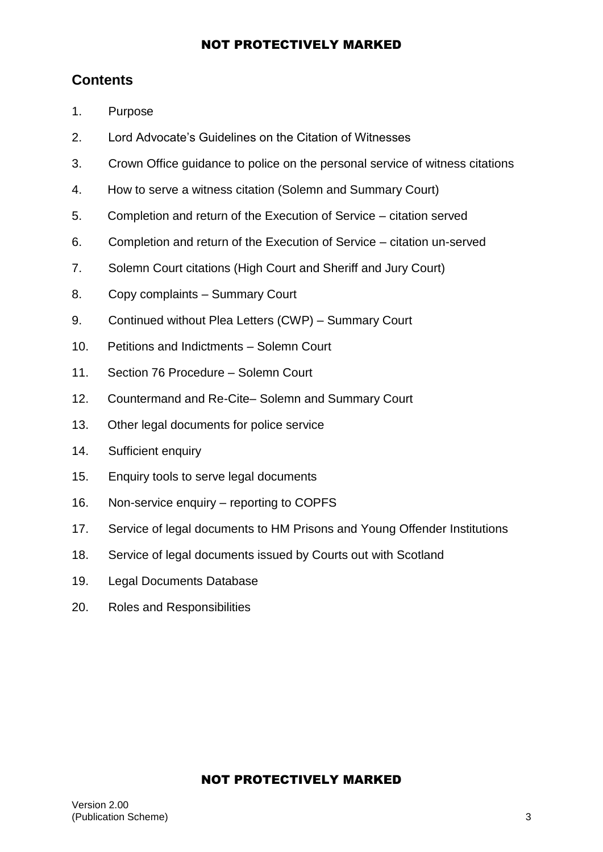# **Contents**

- 1. Purpose
- 2. Lord Advocate's Guidelines on the Citation of Witnesses
- 3. Crown Office guidance to police on the personal service of witness citations
- 4. How to serve a witness citation (Solemn and Summary Court)
- 5. Completion and return of the Execution of Service citation served
- 6. Completion and return of the Execution of Service citation un-served
- 7. Solemn Court citations (High Court and Sheriff and Jury Court)
- 8. Copy complaints Summary Court
- 9. Continued without Plea Letters (CWP) Summary Court
- 10. Petitions and Indictments Solemn Court
- 11. Section 76 Procedure Solemn Court
- 12. Countermand and Re-Cite– Solemn and Summary Court
- 13. Other legal documents for police service
- 14. Sufficient enquiry
- 15. Enquiry tools to serve legal documents
- 16. Non-service enquiry reporting to COPFS
- 17. Service of legal documents to HM Prisons and Young Offender Institutions
- 18. Service of legal documents issued by Courts out with Scotland
- 19. Legal Documents Database
- 20. Roles and Responsibilities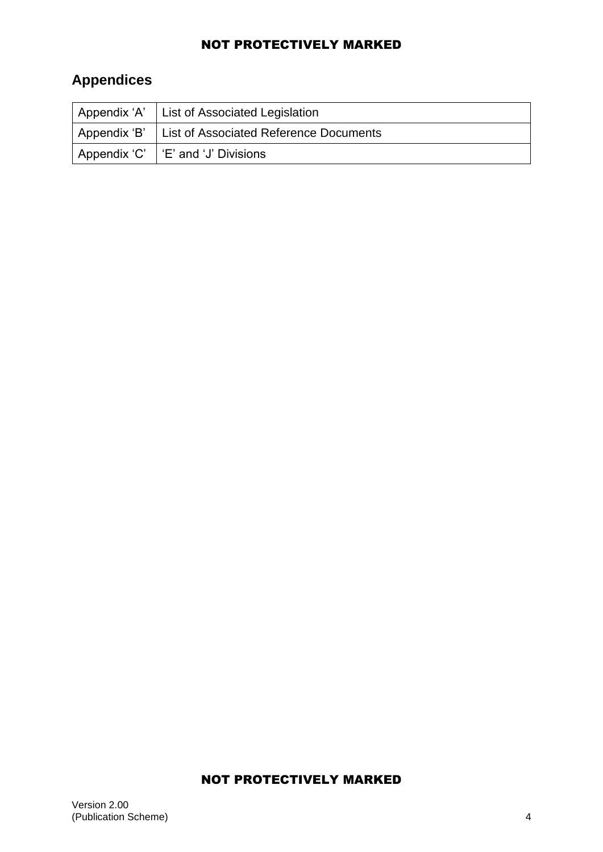# **Appendices**

|                | Appendix 'A' List of Associated Legislation   |
|----------------|-----------------------------------------------|
| ' Appendix 'B' | <b>List of Associated Reference Documents</b> |
|                | Appendix 'C'   'E' and 'J' Divisions          |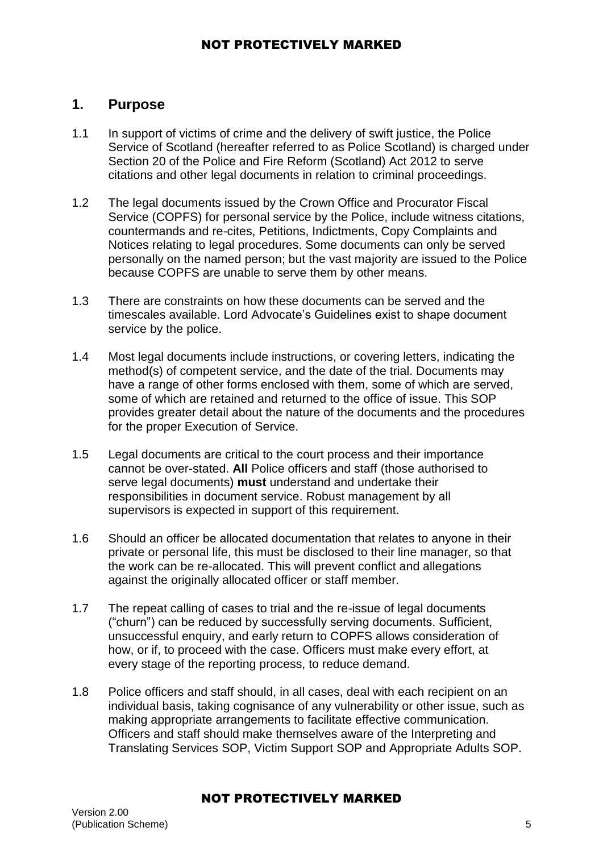## **1. Purpose**

- 1.1 In support of victims of crime and the delivery of swift justice, the Police Service of Scotland (hereafter referred to as Police Scotland) is charged under Section 20 of the Police and Fire Reform (Scotland) Act 2012 to serve citations and other legal documents in relation to criminal proceedings.
- 1.2 The legal documents issued by the Crown Office and Procurator Fiscal Service (COPFS) for personal service by the Police, include witness citations, countermands and re-cites, Petitions, Indictments, Copy Complaints and Notices relating to legal procedures. Some documents can only be served personally on the named person; but the vast majority are issued to the Police because COPFS are unable to serve them by other means.
- 1.3 There are constraints on how these documents can be served and the timescales available. Lord Advocate's Guidelines exist to shape document service by the police.
- 1.4 Most legal documents include instructions, or covering letters, indicating the method(s) of competent service, and the date of the trial. Documents may have a range of other forms enclosed with them, some of which are served, some of which are retained and returned to the office of issue. This SOP provides greater detail about the nature of the documents and the procedures for the proper Execution of Service.
- 1.5 Legal documents are critical to the court process and their importance cannot be over-stated. **All** Police officers and staff (those authorised to serve legal documents) **must** understand and undertake their responsibilities in document service. Robust management by all supervisors is expected in support of this requirement.
- 1.6 Should an officer be allocated documentation that relates to anyone in their private or personal life, this must be disclosed to their line manager, so that the work can be re-allocated. This will prevent conflict and allegations against the originally allocated officer or staff member.
- 1.7 The repeat calling of cases to trial and the re-issue of legal documents ("churn") can be reduced by successfully serving documents. Sufficient, unsuccessful enquiry, and early return to COPFS allows consideration of how, or if, to proceed with the case. Officers must make every effort, at every stage of the reporting process, to reduce demand.
- 1.8 Police officers and staff should, in all cases, deal with each recipient on an individual basis, taking cognisance of any vulnerability or other issue, such as making appropriate arrangements to facilitate effective communication. Officers and staff should make themselves aware of the Interpreting and Translating Services SOP, Victim Support SOP and Appropriate Adults SOP.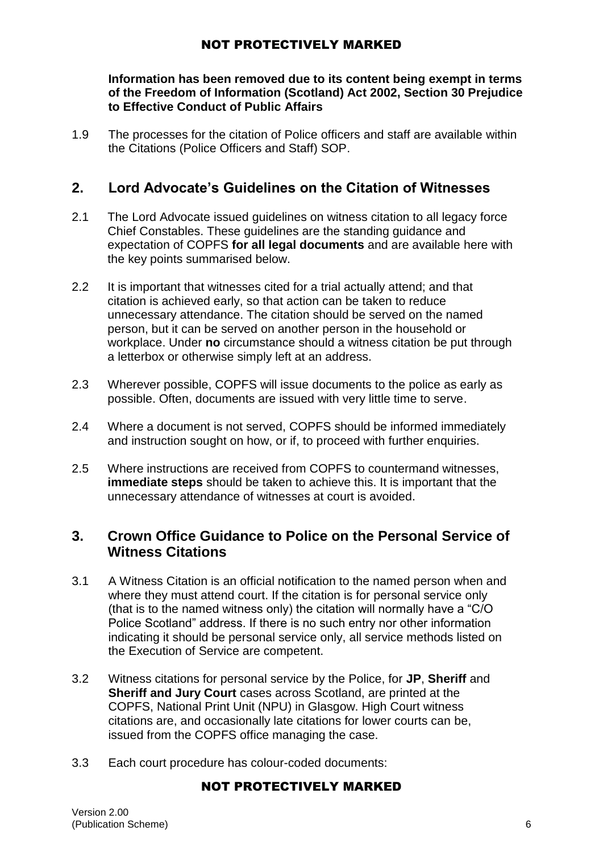#### **Information has been removed due to its content being exempt in terms of the Freedom of Information (Scotland) Act 2002, Section 30 Prejudice to Effective Conduct of Public Affairs**

1.9 The processes for the citation of Police officers and staff are available within the Citations (Police Officers and Staff) SOP.

# **2. Lord Advocate's Guidelines on the Citation of Witnesses**

- 2.1 The Lord Advocate issued guidelines on witness citation to all legacy force Chief Constables. These guidelines are the standing guidance and expectation of COPFS **for all legal documents** and are available here with the key points summarised below.
- 2.2 It is important that witnesses cited for a trial actually attend; and that citation is achieved early, so that action can be taken to reduce unnecessary attendance. The citation should be served on the named person, but it can be served on another person in the household or workplace. Under **no** circumstance should a witness citation be put through a letterbox or otherwise simply left at an address.
- 2.3 Wherever possible, COPFS will issue documents to the police as early as possible. Often, documents are issued with very little time to serve.
- 2.4 Where a document is not served, COPFS should be informed immediately and instruction sought on how, or if, to proceed with further enquiries.
- 2.5 Where instructions are received from COPFS to countermand witnesses, **immediate steps** should be taken to achieve this. It is important that the unnecessary attendance of witnesses at court is avoided.

## **3. Crown Office Guidance to Police on the Personal Service of Witness Citations**

- 3.1 A Witness Citation is an official notification to the named person when and where they must attend court. If the citation is for personal service only (that is to the named witness only) the citation will normally have a "C/O Police Scotland" address. If there is no such entry nor other information indicating it should be personal service only, all service methods listed on the Execution of Service are competent.
- 3.2 Witness citations for personal service by the Police, for **JP**, **Sheriff** and **Sheriff and Jury Court** cases across Scotland, are printed at the COPFS, National Print Unit (NPU) in Glasgow. High Court witness citations are, and occasionally late citations for lower courts can be, issued from the COPFS office managing the case.
- 3.3 Each court procedure has colour-coded documents: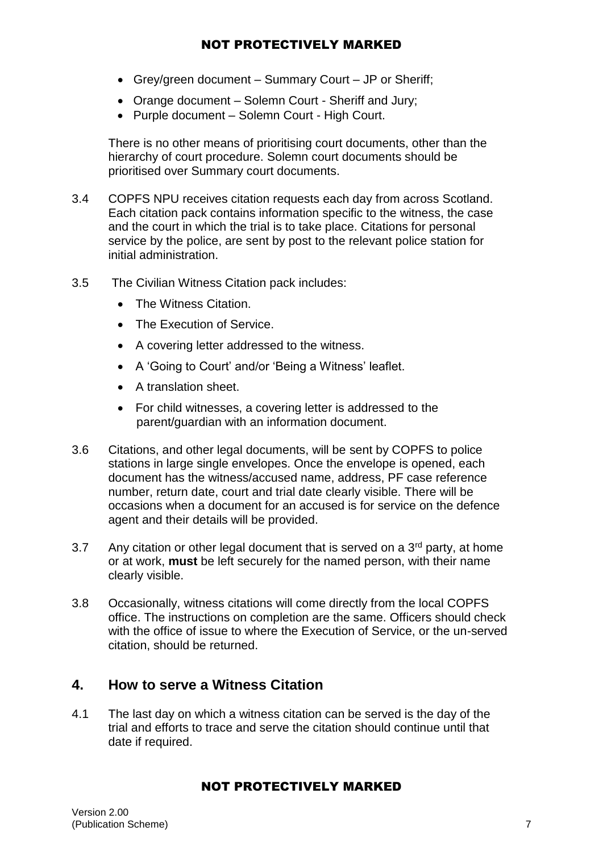- Grey/green document Summary Court JP or Sheriff;
- Orange document Solemn Court Sheriff and Jury;
- Purple document Solemn Court High Court.

There is no other means of prioritising court documents, other than the hierarchy of court procedure. Solemn court documents should be prioritised over Summary court documents.

- 3.4 COPFS NPU receives citation requests each day from across Scotland. Each citation pack contains information specific to the witness, the case and the court in which the trial is to take place. Citations for personal service by the police, are sent by post to the relevant police station for initial administration.
- 3.5 The Civilian Witness Citation pack includes:
	- The Witness Citation.
	- The Execution of Service
	- A covering letter addressed to the witness.
	- A 'Going to Court' and/or 'Being a Witness' leaflet.
	- A translation sheet.
	- For child witnesses, a covering letter is addressed to the parent/guardian with an information document.
- 3.6 Citations, and other legal documents, will be sent by COPFS to police stations in large single envelopes. Once the envelope is opened, each document has the witness/accused name, address, PF case reference number, return date, court and trial date clearly visible. There will be occasions when a document for an accused is for service on the defence agent and their details will be provided.
- 3.7 Any citation or other legal document that is served on a  $3<sup>rd</sup>$  party, at home or at work, **must** be left securely for the named person, with their name clearly visible.
- 3.8 Occasionally, witness citations will come directly from the local COPFS office. The instructions on completion are the same. Officers should check with the office of issue to where the Execution of Service, or the un-served citation, should be returned.

## **4. How to serve a Witness Citation**

4.1 The last day on which a witness citation can be served is the day of the trial and efforts to trace and serve the citation should continue until that date if required.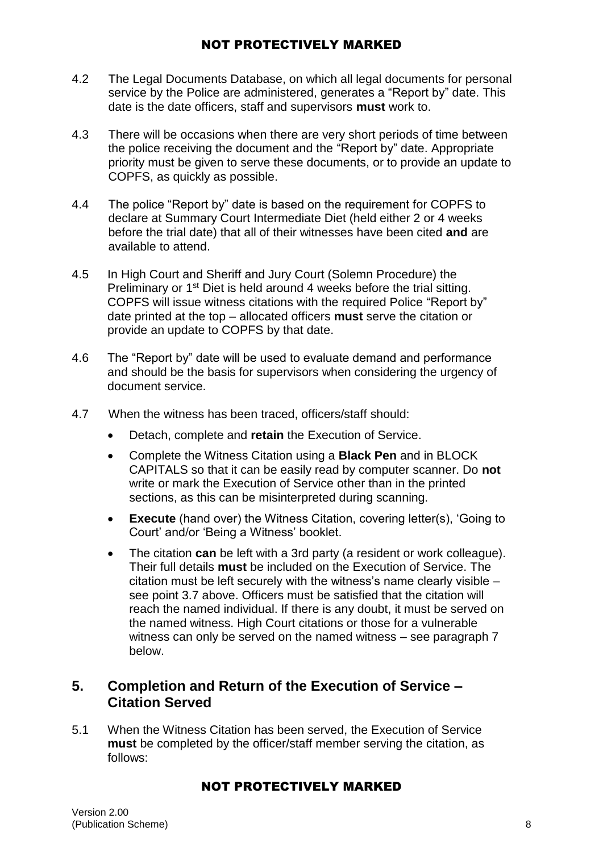- 4.2 The Legal Documents Database, on which all legal documents for personal service by the Police are administered, generates a "Report by" date. This date is the date officers, staff and supervisors **must** work to.
- 4.3 There will be occasions when there are very short periods of time between the police receiving the document and the "Report by" date. Appropriate priority must be given to serve these documents, or to provide an update to COPFS, as quickly as possible.
- 4.4 The police "Report by" date is based on the requirement for COPFS to declare at Summary Court Intermediate Diet (held either 2 or 4 weeks before the trial date) that all of their witnesses have been cited **and** are available to attend.
- 4.5 In High Court and Sheriff and Jury Court (Solemn Procedure) the Preliminary or 1<sup>st</sup> Diet is held around 4 weeks before the trial sitting. COPFS will issue witness citations with the required Police "Report by" date printed at the top – allocated officers **must** serve the citation or provide an update to COPFS by that date.
- 4.6 The "Report by" date will be used to evaluate demand and performance and should be the basis for supervisors when considering the urgency of document service.
- 4.7 When the witness has been traced, officers/staff should:
	- Detach, complete and **retain** the Execution of Service.
	- Complete the Witness Citation using a **Black Pen** and in BLOCK CAPITALS so that it can be easily read by computer scanner. Do **not** write or mark the Execution of Service other than in the printed sections, as this can be misinterpreted during scanning.
	- **Execute** (hand over) the Witness Citation, covering letter(s), 'Going to Court' and/or 'Being a Witness' booklet.
	- The citation **can** be left with a 3rd party (a resident or work colleague). Their full details **must** be included on the Execution of Service. The citation must be left securely with the witness's name clearly visible – see point 3.7 above. Officers must be satisfied that the citation will reach the named individual. If there is any doubt, it must be served on the named witness. High Court citations or those for a vulnerable witness can only be served on the named witness – see paragraph 7 below.

## **5. Completion and Return of the Execution of Service – Citation Served**

5.1 When the Witness Citation has been served, the Execution of Service **must** be completed by the officer/staff member serving the citation, as follows: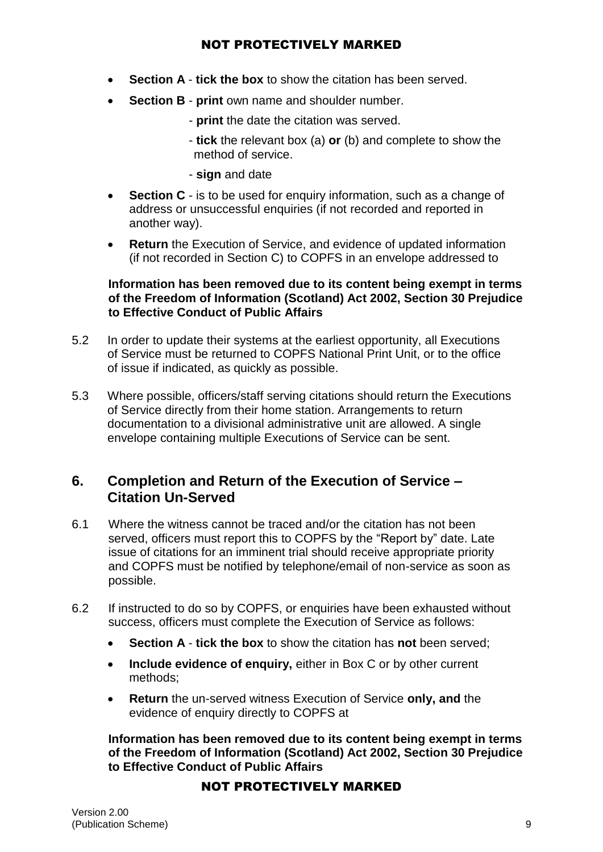- **Section A tick the box** to show the citation has been served.
- **Section B print** own name and shoulder number.
	- **print** the date the citation was served.
	- **tick** the relevant box (a) **or** (b) and complete to show the method of service.
	- **sign** and date
- **Section C** is to be used for enquiry information, such as a change of address or unsuccessful enquiries (if not recorded and reported in another way).
- **Return** the Execution of Service, and evidence of updated information (if not recorded in Section C) to COPFS in an envelope addressed to

#### **Information has been removed due to its content being exempt in terms of the Freedom of Information (Scotland) Act 2002, Section 30 Prejudice to Effective Conduct of Public Affairs**

- 5.2 In order to update their systems at the earliest opportunity, all Executions of Service must be returned to COPFS National Print Unit, or to the office of issue if indicated, as quickly as possible.
- 5.3 Where possible, officers/staff serving citations should return the Executions of Service directly from their home station. Arrangements to return documentation to a divisional administrative unit are allowed. A single envelope containing multiple Executions of Service can be sent.

# **6. Completion and Return of the Execution of Service – Citation Un-Served**

- 6.1 Where the witness cannot be traced and/or the citation has not been served, officers must report this to COPFS by the "Report by" date. Late issue of citations for an imminent trial should receive appropriate priority and COPFS must be notified by telephone/email of non-service as soon as possible.
- 6.2 If instructed to do so by COPFS, or enquiries have been exhausted without success, officers must complete the Execution of Service as follows:
	- **Section A tick the box** to show the citation has **not** been served;
	- **Include evidence of enquiry,** either in Box C or by other current methods;
	- **Return** the un-served witness Execution of Service **only, and** the evidence of enquiry directly to COPFS at

**Information has been removed due to its content being exempt in terms of the Freedom of Information (Scotland) Act 2002, Section 30 Prejudice to Effective Conduct of Public Affairs**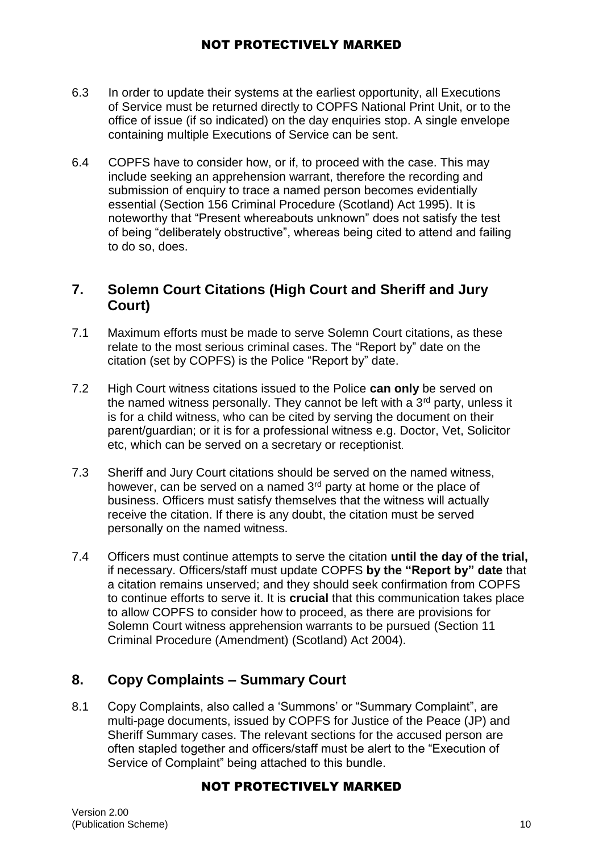- 6.3 In order to update their systems at the earliest opportunity, all Executions of Service must be returned directly to COPFS National Print Unit, or to the office of issue (if so indicated) on the day enquiries stop. A single envelope containing multiple Executions of Service can be sent.
- 6.4 COPFS have to consider how, or if, to proceed with the case. This may include seeking an apprehension warrant, therefore the recording and submission of enquiry to trace a named person becomes evidentially essential (Section 156 Criminal Procedure (Scotland) Act 1995). It is noteworthy that "Present whereabouts unknown" does not satisfy the test of being "deliberately obstructive", whereas being cited to attend and failing to do so, does.

# **7. Solemn Court Citations (High Court and Sheriff and Jury Court)**

- 7.1 Maximum efforts must be made to serve Solemn Court citations, as these relate to the most serious criminal cases. The "Report by" date on the citation (set by COPFS) is the Police "Report by" date.
- 7.2 High Court witness citations issued to the Police **can only** be served on the named witness personally. They cannot be left with a  $3<sup>rd</sup>$  party, unless it is for a child witness, who can be cited by serving the document on their parent/guardian; or it is for a professional witness e.g. Doctor, Vet, Solicitor etc, which can be served on a secretary or receptionist.
- 7.3 Sheriff and Jury Court citations should be served on the named witness, however, can be served on a named 3<sup>rd</sup> party at home or the place of business. Officers must satisfy themselves that the witness will actually receive the citation. If there is any doubt, the citation must be served personally on the named witness.
- 7.4 Officers must continue attempts to serve the citation **until the day of the trial,** if necessary. Officers/staff must update COPFS **by the "Report by" date** that a citation remains unserved; and they should seek confirmation from COPFS to continue efforts to serve it. It is **crucial** that this communication takes place to allow COPFS to consider how to proceed, as there are provisions for Solemn Court witness apprehension warrants to be pursued (Section 11 Criminal Procedure (Amendment) (Scotland) Act 2004).

# **8. Copy Complaints – Summary Court**

8.1 Copy Complaints, also called a 'Summons' or "Summary Complaint", are multi-page documents, issued by COPFS for Justice of the Peace (JP) and Sheriff Summary cases. The relevant sections for the accused person are often stapled together and officers/staff must be alert to the "Execution of Service of Complaint" being attached to this bundle.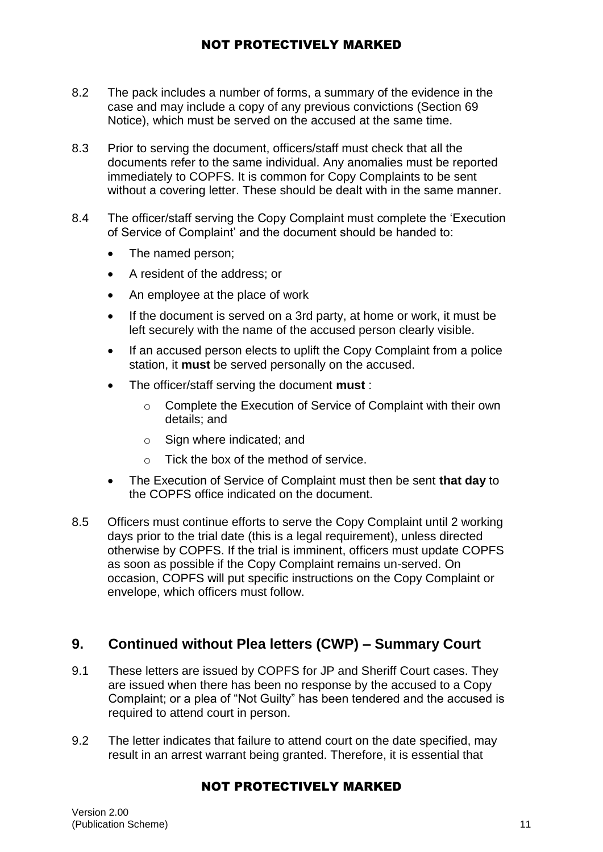- 8.2 The pack includes a number of forms, a summary of the evidence in the case and may include a copy of any previous convictions (Section 69 Notice), which must be served on the accused at the same time.
- 8.3 Prior to serving the document, officers/staff must check that all the documents refer to the same individual. Any anomalies must be reported immediately to COPFS. It is common for Copy Complaints to be sent without a covering letter. These should be dealt with in the same manner.
- 8.4 The officer/staff serving the Copy Complaint must complete the 'Execution of Service of Complaint' and the document should be handed to:
	- The named person:
	- A resident of the address; or
	- An employee at the place of work
	- If the document is served on a 3rd party, at home or work, it must be left securely with the name of the accused person clearly visible.
	- If an accused person elects to uplift the Copy Complaint from a police station, it **must** be served personally on the accused.
	- The officer/staff serving the document **must** :
		- o Complete the Execution of Service of Complaint with their own details; and
		- o Sign where indicated; and
		- o Tick the box of the method of service.
	- The Execution of Service of Complaint must then be sent **that day** to the COPFS office indicated on the document.
- 8.5 Officers must continue efforts to serve the Copy Complaint until 2 working days prior to the trial date (this is a legal requirement), unless directed otherwise by COPFS. If the trial is imminent, officers must update COPFS as soon as possible if the Copy Complaint remains un-served. On occasion, COPFS will put specific instructions on the Copy Complaint or envelope, which officers must follow.

# **9. Continued without Plea letters (CWP) – Summary Court**

- 9.1 These letters are issued by COPFS for JP and Sheriff Court cases. They are issued when there has been no response by the accused to a Copy Complaint; or a plea of "Not Guilty" has been tendered and the accused is required to attend court in person.
- 9.2 The letter indicates that failure to attend court on the date specified, may result in an arrest warrant being granted. Therefore, it is essential that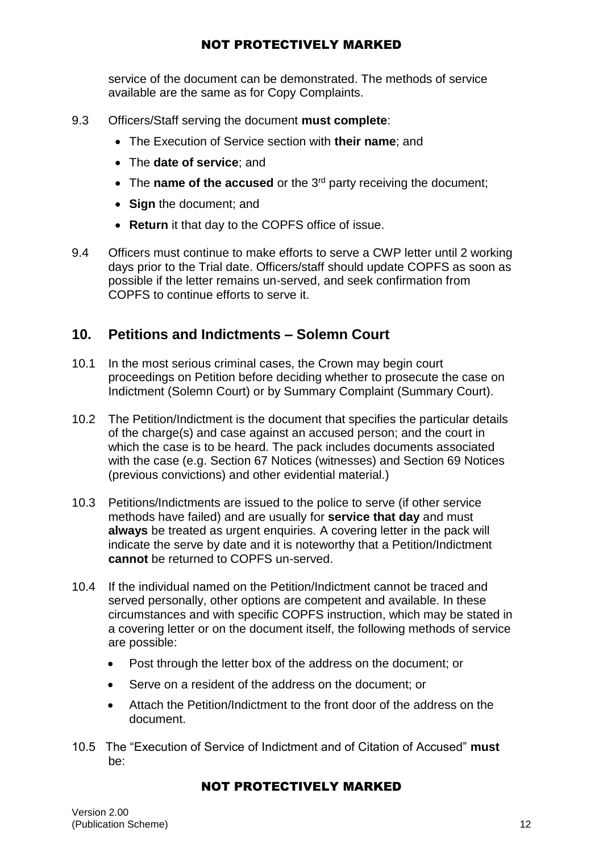service of the document can be demonstrated. The methods of service available are the same as for Copy Complaints.

- 9.3 Officers/Staff serving the document **must complete**:
	- The Execution of Service section with **their name**; and
	- The **date of service**; and
	- The **name of the accused** or the 3<sup>rd</sup> party receiving the document;
	- **Sign** the document; and
	- **Return** it that day to the COPFS office of issue.
- 9.4 Officers must continue to make efforts to serve a CWP letter until 2 working days prior to the Trial date. Officers/staff should update COPFS as soon as possible if the letter remains un-served, and seek confirmation from COPFS to continue efforts to serve it.

## **10. Petitions and Indictments – Solemn Court**

- 10.1 In the most serious criminal cases, the Crown may begin court proceedings on Petition before deciding whether to prosecute the case on Indictment (Solemn Court) or by Summary Complaint (Summary Court).
- 10.2 The Petition/Indictment is the document that specifies the particular details of the charge(s) and case against an accused person; and the court in which the case is to be heard. The pack includes documents associated with the case (e.g. Section 67 Notices (witnesses) and Section 69 Notices (previous convictions) and other evidential material.)
- 10.3 Petitions/Indictments are issued to the police to serve (if other service methods have failed) and are usually for **service that day** and must **always** be treated as urgent enquiries. A covering letter in the pack will indicate the serve by date and it is noteworthy that a Petition/Indictment **cannot** be returned to COPFS un-served.
- 10.4 If the individual named on the Petition/Indictment cannot be traced and served personally, other options are competent and available. In these circumstances and with specific COPFS instruction, which may be stated in a covering letter or on the document itself, the following methods of service are possible:
	- Post through the letter box of the address on the document; or
	- Serve on a resident of the address on the document; or
	- Attach the Petition/Indictment to the front door of the address on the document.
- 10.5 The "Execution of Service of Indictment and of Citation of Accused" **must**  be: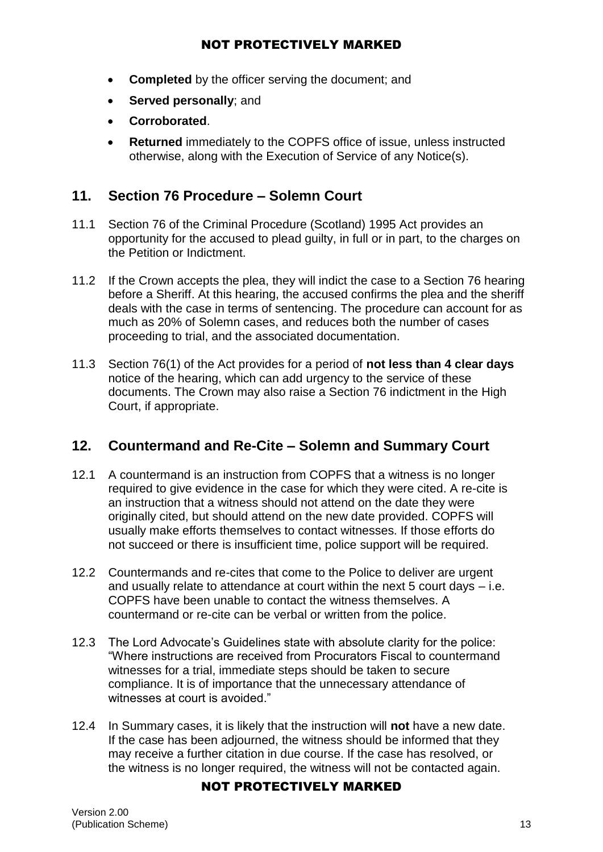- **Completed** by the officer serving the document; and
- **•** Served personally; and
- **Corroborated**.
- **Returned** immediately to the COPFS office of issue, unless instructed otherwise, along with the Execution of Service of any Notice(s).

# **11. Section 76 Procedure – Solemn Court**

- 11.1 Section 76 of the Criminal Procedure (Scotland) 1995 Act provides an opportunity for the accused to plead guilty, in full or in part, to the charges on the Petition or Indictment.
- 11.2 If the Crown accepts the plea, they will indict the case to a Section 76 hearing before a Sheriff. At this hearing, the accused confirms the plea and the sheriff deals with the case in terms of sentencing. The procedure can account for as much as 20% of Solemn cases, and reduces both the number of cases proceeding to trial, and the associated documentation.
- 11.3 Section 76(1) of the Act provides for a period of **not less than 4 clear days** notice of the hearing, which can add urgency to the service of these documents. The Crown may also raise a Section 76 indictment in the High Court, if appropriate.

## **12. Countermand and Re-Cite – Solemn and Summary Court**

- 12.1 A countermand is an instruction from COPFS that a witness is no longer required to give evidence in the case for which they were cited. A re-cite is an instruction that a witness should not attend on the date they were originally cited, but should attend on the new date provided. COPFS will usually make efforts themselves to contact witnesses. If those efforts do not succeed or there is insufficient time, police support will be required.
- 12.2 Countermands and re-cites that come to the Police to deliver are urgent and usually relate to attendance at court within the next 5 court days – i.e. COPFS have been unable to contact the witness themselves. A countermand or re-cite can be verbal or written from the police.
- 12.3 The Lord Advocate's Guidelines state with absolute clarity for the police: "Where instructions are received from Procurators Fiscal to countermand witnesses for a trial, immediate steps should be taken to secure compliance. It is of importance that the unnecessary attendance of witnesses at court is avoided."
- 12.4 In Summary cases, it is likely that the instruction will **not** have a new date. If the case has been adjourned, the witness should be informed that they may receive a further citation in due course. If the case has resolved, or the witness is no longer required, the witness will not be contacted again.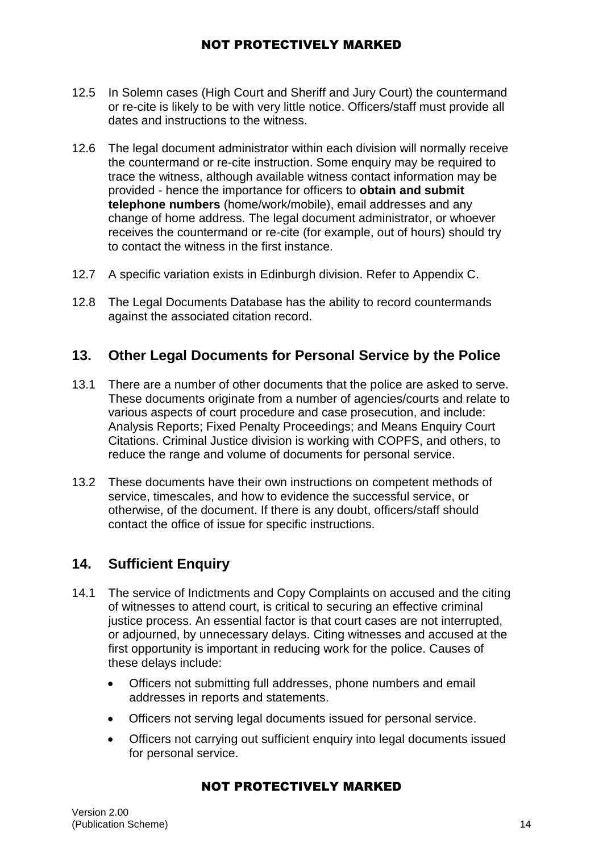- 12.5 In Solemn cases (High Court and Sheriff and Jury Court) the countermand or re-cite is likely to be with very little notice. Officers/staff must provide all dates and instructions to the witness.
- 12.6 The legal document administrator within each division will normally receive the countermand or re-cite instruction. Some enquiry may be required to trace the witness, although available witness contact information may be provided - hence the importance for officers to **obtain and submit telephone numbers** (home/work/mobile), email addresses and any change of home address. The legal document administrator, or whoever receives the countermand or re-cite (for example, out of hours) should try to contact the witness in the first instance.
- 12.7 A specific variation exists in Edinburgh division. Refer to Appendix C.
- 12.8 The Legal Documents Database has the ability to record countermands against the associated citation record.

# **13. Other Legal Documents for Personal Service by the Police**

- 13.1 There are a number of other documents that the police are asked to serve. These documents originate from a number of agencies/courts and relate to various aspects of court procedure and case prosecution, and include: Analysis Reports; Fixed Penalty Proceedings; and Means Enquiry Court Citations. Criminal Justice division is working with COPFS, and others, to reduce the range and volume of documents for personal service.
- 13.2 These documents have their own instructions on competent methods of service, timescales, and how to evidence the successful service, or otherwise, of the document. If there is any doubt, officers/staff should contact the office of issue for specific instructions.

# **14. Sufficient Enquiry**

- 14.1 The service of Indictments and Copy Complaints on accused and the citing of witnesses to attend court, is critical to securing an effective criminal justice process. An essential factor is that court cases are not interrupted, or adjourned, by unnecessary delays. Citing witnesses and accused at the first opportunity is important in reducing work for the police. Causes of these delays include:
	- Officers not submitting full addresses, phone numbers and email addresses in reports and statements.
	- Officers not serving legal documents issued for personal service.
	- Officers not carrying out sufficient enquiry into legal documents issued for personal service.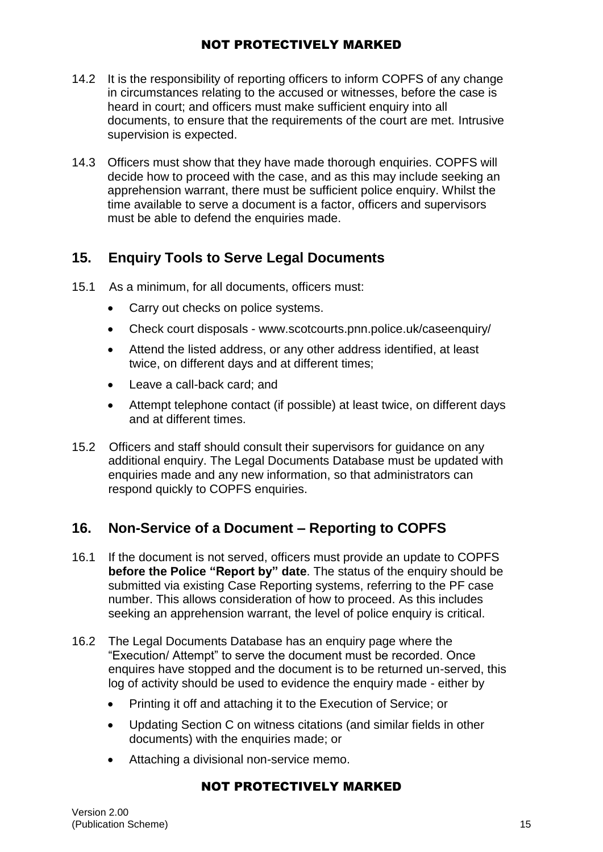- 14.2 It is the responsibility of reporting officers to inform COPFS of any change in circumstances relating to the accused or witnesses, before the case is heard in court; and officers must make sufficient enquiry into all documents, to ensure that the requirements of the court are met. Intrusive supervision is expected.
- 14.3 Officers must show that they have made thorough enquiries. COPFS will decide how to proceed with the case, and as this may include seeking an apprehension warrant, there must be sufficient police enquiry. Whilst the time available to serve a document is a factor, officers and supervisors must be able to defend the enquiries made.

# **15. Enquiry Tools to Serve Legal Documents**

- 15.1 As a minimum, for all documents, officers must:
	- Carry out checks on police systems.
	- Check court disposals www.scotcourts.pnn.police.uk/caseenquiry/
	- Attend the listed address, or any other address identified, at least twice, on different days and at different times;
	- Leave a call-back card: and
	- Attempt telephone contact (if possible) at least twice, on different days and at different times.
- 15.2 Officers and staff should consult their supervisors for guidance on any additional enquiry. The Legal Documents Database must be updated with enquiries made and any new information, so that administrators can respond quickly to COPFS enquiries.

# **16. Non-Service of a Document – Reporting to COPFS**

- 16.1 If the document is not served, officers must provide an update to COPFS **before the Police "Report by" date**. The status of the enquiry should be submitted via existing Case Reporting systems, referring to the PF case number. This allows consideration of how to proceed. As this includes seeking an apprehension warrant, the level of police enquiry is critical.
- 16.2 The Legal Documents Database has an enquiry page where the "Execution/ Attempt" to serve the document must be recorded. Once enquires have stopped and the document is to be returned un-served, this log of activity should be used to evidence the enquiry made - either by
	- Printing it off and attaching it to the Execution of Service; or
	- Updating Section C on witness citations (and similar fields in other documents) with the enquiries made; or
	- Attaching a divisional non-service memo.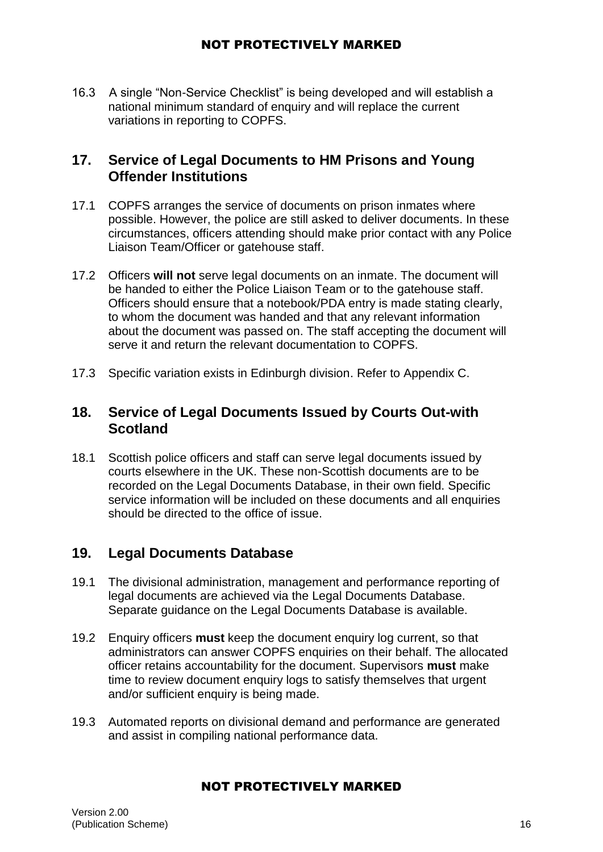16.3 A single "Non-Service Checklist" is being developed and will establish a national minimum standard of enquiry and will replace the current variations in reporting to COPFS.

## **17. Service of Legal Documents to HM Prisons and Young Offender Institutions**

- 17.1 COPFS arranges the service of documents on prison inmates where possible. However, the police are still asked to deliver documents. In these circumstances, officers attending should make prior contact with any Police Liaison Team/Officer or gatehouse staff.
- 17.2 Officers **will not** serve legal documents on an inmate. The document will be handed to either the Police Liaison Team or to the gatehouse staff. Officers should ensure that a notebook/PDA entry is made stating clearly, to whom the document was handed and that any relevant information about the document was passed on. The staff accepting the document will serve it and return the relevant documentation to COPFS.
- 17.3 Specific variation exists in Edinburgh division. Refer to Appendix C.

# **18. Service of Legal Documents Issued by Courts Out-with Scotland**

18.1 Scottish police officers and staff can serve legal documents issued by courts elsewhere in the UK. These non-Scottish documents are to be recorded on the Legal Documents Database, in their own field. Specific service information will be included on these documents and all enquiries should be directed to the office of issue.

## **19. Legal Documents Database**

- 19.1 The divisional administration, management and performance reporting of legal documents are achieved via the Legal Documents Database. Separate guidance on the Legal Documents Database is available.
- 19.2 Enquiry officers **must** keep the document enquiry log current, so that administrators can answer COPFS enquiries on their behalf. The allocated officer retains accountability for the document. Supervisors **must** make time to review document enquiry logs to satisfy themselves that urgent and/or sufficient enquiry is being made.
- 19.3 Automated reports on divisional demand and performance are generated and assist in compiling national performance data.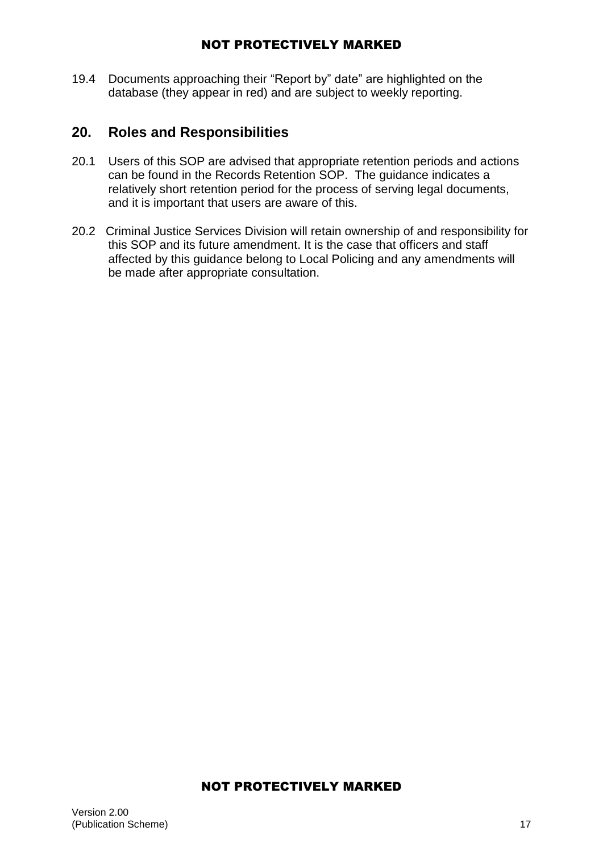19.4 Documents approaching their "Report by" date" are highlighted on the database (they appear in red) and are subject to weekly reporting.

# **20. Roles and Responsibilities**

- 20.1 Users of this SOP are advised that appropriate retention periods and actions can be found in the Records Retention SOP. The guidance indicates a relatively short retention period for the process of serving legal documents, and it is important that users are aware of this.
- 20.2 Criminal Justice Services Division will retain ownership of and responsibility for this SOP and its future amendment. It is the case that officers and staff affected by this guidance belong to Local Policing and any amendments will be made after appropriate consultation.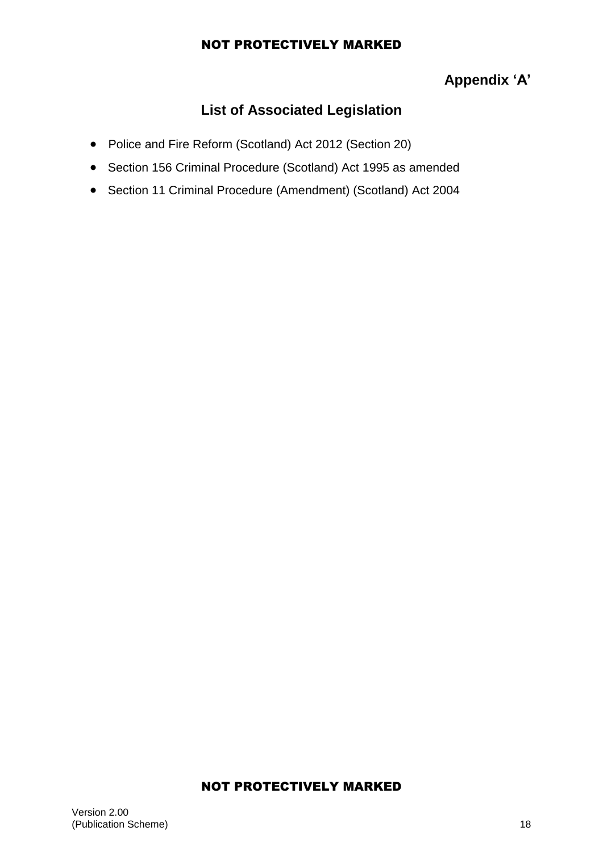# **Appendix 'A'**

# **List of Associated Legislation**

- Police and Fire Reform (Scotland) Act 2012 (Section 20)
- Section 156 Criminal Procedure (Scotland) Act 1995 as amended
- Section 11 Criminal Procedure (Amendment) (Scotland) Act 2004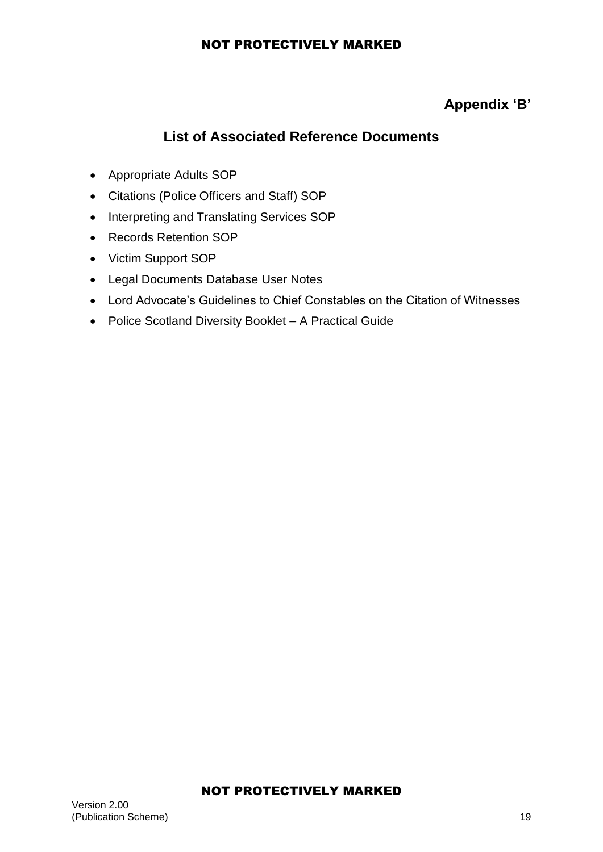# **Appendix 'B'**

# **List of Associated Reference Documents**

- Appropriate Adults SOP
- Citations (Police Officers and Staff) SOP
- Interpreting and Translating Services SOP
- Records Retention SOP
- Victim Support SOP
- Legal Documents Database User Notes
- Lord Advocate's Guidelines to Chief Constables on the Citation of Witnesses
- Police Scotland Diversity Booklet A Practical Guide